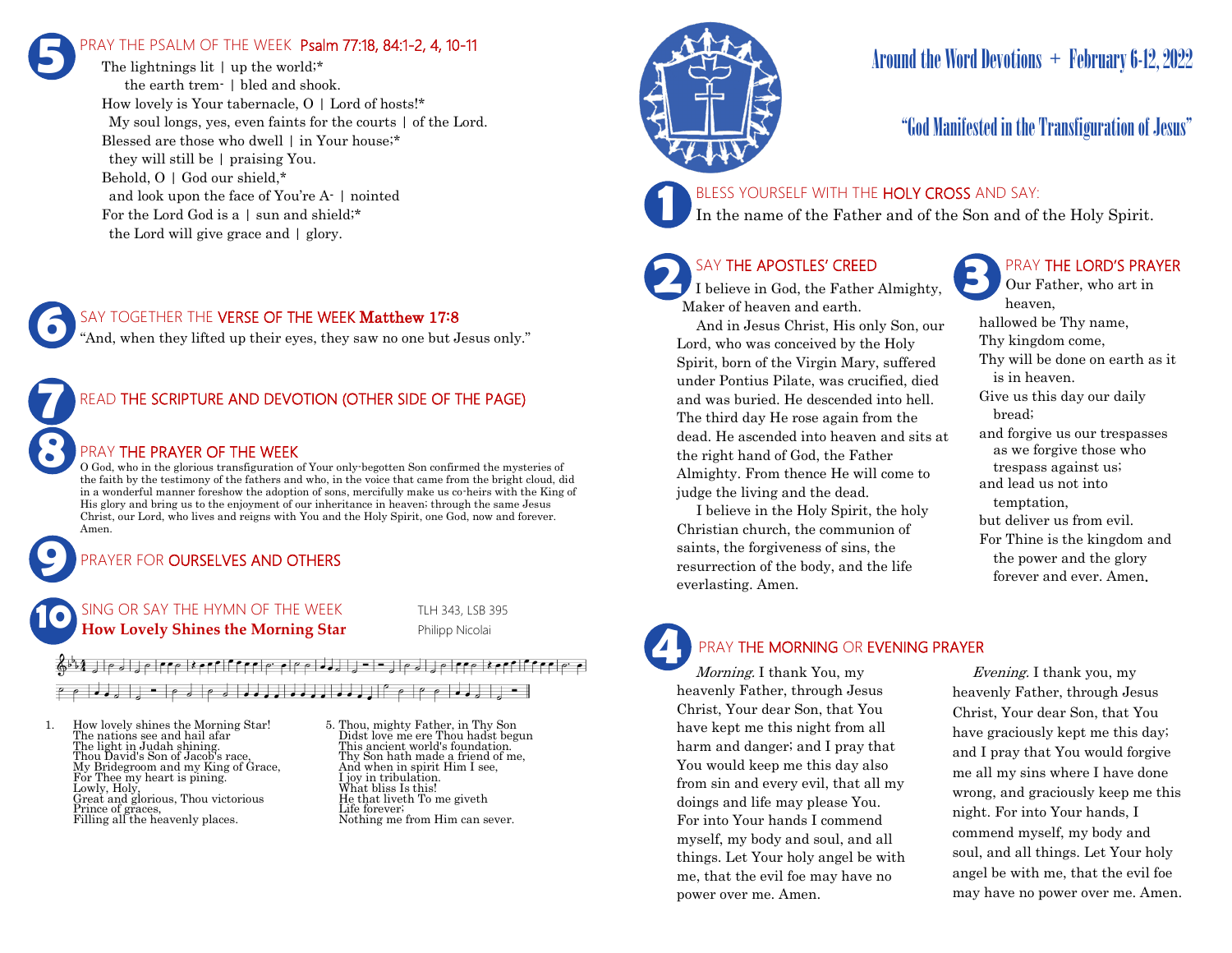# RAY THE PSALM OF THE WEEK Psalm 77:18, 84:1-2, 4, 10-11 **5**

The lightnings lit | up the world;\* the earth trem- | bled and shook. How lovely is Your tabernacle,  $O \mid$  Lord of hosts!\* My soul longs, yes, even faints for the courts | of the Lord. Blessed are those who dwell | in Your house;\* they will still be | praising You. Behold, O | God our shield,\* and look upon the face of You're A- | nointed For the Lord God is a | sun and shield;\* the Lord will give grace and | glory.

## SAY TOGETHER THE VERSE OF THE WEEK Matthew 17:8

"And, when they lifted up their eyes, they saw no one but Jesus only."

# READ THE SCRIPTURE AND DEVOTION (OTHER SIDE OF THE PAGE)

## PRAY THE PRAYER OF THE WEEK

O God, who in the glorious transfiguration of Your only-begotten Son confirmed the mysteries of the faith by the testimony of the fathers and who, in the voice that came from the bright cloud, did in a wonderful manner foreshow the adoption of sons, mercifully make us co-heirs with the King of His glory and bring us to the enjoyment of our inheritance in heaven; through the same Jesus Christ, our Lord, who lives and reigns with You and the Holy Spirit, one God, now and forever. Amen.

# PRAYER FOR **OURSELVES AND OTHERS**

SING OR SAY THE HYMN OF THE WEEK TLH 343, LSB 395 **How Lovely Shines the Morning Star** Philipp Nicolai **10**

# ┌ ┌ │ ┛ ┛ ╝ │ ║ ╶╴│┌ ╛││ の ┛ ┛ ┛ ┛ ┛ ┛ ┛ ┛ ┛ ┛ ┛ ┛ ┛ ┃ (゜ ┌ │ (゜ ┌ │ ┛ ┛ ╛ │ <u>)</u> ╶╴│

1. How lovely shines the Morning Star! The nations see and hail afar The light in Judah shining. Thou David's Son of Jacob's race, My Bridegroom and my King of Grace, For Thee my heart is pining. Lowly, Holy, Great and glorious, Thou victorious Prince of graces, Filling all the heavenly places.

**9**

**8**

**7**

**6**

5. Thou, mighty Father, in Thy Son Didst love me ere Thou hadst begun This ancient world's foundation. Thy Son hath made a friend of me, And when in spirit Him I see, I joy in tribulation. What bliss Is this! He that liveth To me giveth Life forever; Nothing me from Him can sever.



# Around the Word Devotions  $+$  February 6-12, 2022

# "God Manifested in the Transfiguration of Jesus"

## BLESS YOURSELF WITH THE HOLY CROSS AND SAY:

In the name of the Father and of the Son and of the Holy Spirit.

# SAY THE APOSTLES' CREED

I believe in God, the Father Almighty, Maker of heaven and earth.

 And in Jesus Christ, His only Son, our Lord, who was conceived by the Holy Spirit, born of the Virgin Mary, suffered under Pontius Pilate, was crucified, died and was buried. He descended into hell. The third day He rose again from the dead. He ascended into heaven and sits at the right hand of God, the Father Almighty. From thence He will come to judge the living and the dead.

 I believe in the Holy Spirit, the holy Christian church, the communion of saints, the forgiveness of sins, the resurrection of the body, and the life everlasting. Amen.

# PRAY THE LORD'S PRAYER

Our Father, who art in heaven, hallowed be Thy name, Thy kingdom come, Thy will be done on earth as it is in heaven. Give us this day our daily bread; and forgive us our trespasses as we forgive those who trespass against us; and lead us not into temptation, but deliver us from evil. For Thine is the kingdom and the power and the glory forever and ever. Amen.

# **4**

## PRAY THE MORNING OR EVENING PRAYER

Morning. I thank You, my heavenly Father, through Jesus Christ, Your dear Son, that You have kept me this night from all harm and danger; and I pray that You would keep me this day also from sin and every evil, that all my doings and life may please You. For into Your hands I commend myself, my body and soul, and all things. Let Your holy angel be with me, that the evil foe may have no power over me. Amen.

 Evening. I thank you, my heavenly Father, through Jesus Christ, Your dear Son, that You have graciously kept me this day; and I pray that You would forgive me all my sins where I have done wrong, and graciously keep me this night. For into Your hands, I commend myself, my body and soul, and all things. Let Your holy angel be with me, that the evil foe may have no power over me. Amen.